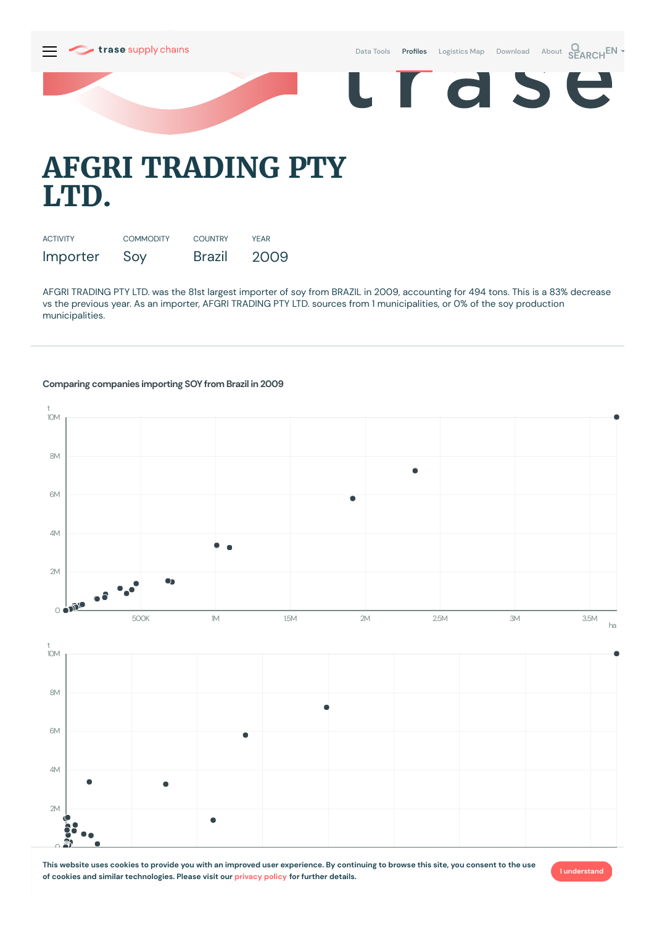

Data [Tools](https://supplychains.trase.earth/explore) **Profiles** [Logistics](https://supplychains.trase.earth/logistics-map) Map [Download](https://supplychains.trase.earth/data) [About](https://supplychains.trase.earth/about) **SEARCH<sup>EN</sup>** 

d S

 $\blacksquare$ 

# **AFGRI TRADING PTY LTD.**

| <b>ACTIVITY</b> | <b>COMMODITY</b> | <b>COUNTRY</b> | <b>YFAR</b> |
|-----------------|------------------|----------------|-------------|
| Importer        | Soy              | <b>Brazil</b>  | 2009        |

AFGRI TRADING PTY LTD. was the 81st largest importer of soy from BRAZIL in 2009, accounting for 494 tons. This is a 83% decrease vs the previous year. As an importer, AFGRI TRADING PTY LTD. sources from 1municipalities, or 0% of the soy production municipalities.

## **Comparing companies importing SOY from Brazil in 2009**



This website uses cookies to provide you with an improved user experience. By continuing to browse this site, you consent to the use **of cookies and similar technologies. Please visit our [privacy](https://www.trase.earth/privacy-policy) policy for further details.**

**I understand**